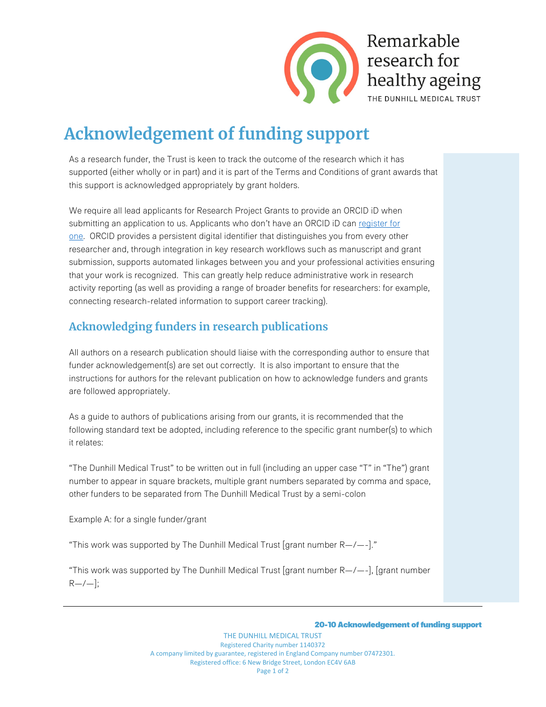

# **Acknowledgement of funding support**

As a research funder, the Trust is keen to track the outcome of the research which it has supported (either wholly or in part) and it is part of the Terms and Conditions of grant awards that this support is acknowledged appropriately by grant holders.

We require all lead applicants for Research Project Grants to provide an ORCID iD when submitting an application to us. Applicants who don't have an ORCID iD can [register for](https://orcid.org/register)  [one.](https://orcid.org/register) ORCID provides a persistent digital identifier that distinguishes you from every other researcher and, through integration in key research workflows such as manuscript and grant submission, supports automated linkages between you and your professional activities ensuring that your work is recognized. This can greatly help reduce administrative work in research activity reporting (as well as providing a range of broader benefits for researchers: for example, connecting research-related information to support career tracking).

## **Acknowledging funders in research publications**

All authors on a research publication should liaise with the corresponding author to ensure that funder acknowledgement(s) are set out correctly. It is also important to ensure that the instructions for authors for the relevant publication on how to acknowledge funders and grants are followed appropriately.

As a guide to authors of publications arising from our grants, it is recommended that the following standard text be adopted, including reference to the specific grant number(s) to which it relates:

"The Dunhill Medical Trust" to be written out in full (including an upper case "T" in "The") grant number to appear in square brackets, multiple grant numbers separated by comma and space, other funders to be separated from The Dunhill Medical Trust by a semi-colon

Example A: for a single funder/grant

"This work was supported by The Dunhill Medical Trust [grant number  $R-\ell$ --]."

"This work was supported by The Dunhill Medical Trust [grant number  $R$ -/--], [grant number  $R - / -$ ];